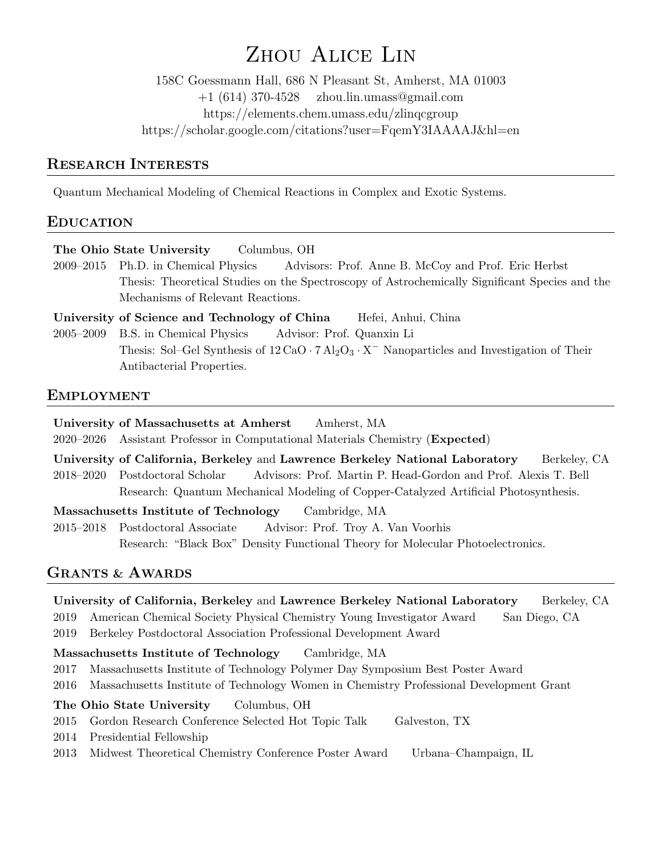# Zhou Alice Lin

158C Goessmann Hall, 686 N Pleasant St, Amherst, MA 01003 +1 (614) 370-4528 zhou.lin.umass@gmail.com https://elements.chem.umass.edu/zlinqcgroup https://scholar.google.com/citations?user=FqemY3IAAAAJ&hl=en

## RESEARCH INTERESTS

Quantum Mechanical Modeling of Chemical Reactions in Complex and Exotic Systems.

## EDUCATION

The Ohio State University Columbus, OH

2009–2015 Ph.D. in Chemical Physics Advisors: Prof. Anne B. McCoy and Prof. Eric Herbst Thesis: Theoretical Studies on the Spectroscopy of Astrochemically Significant Species and the Mechanisms of Relevant Reactions.

University of Science and Technology of China Hefei, Anhui, China

2005–2009 B.S. in Chemical Physics Advisor: Prof. Quanxin Li Thesis: Sol–Gel Synthesis of  $12 \text{ CaO} \cdot 7 \text{ Al}_2\text{O}_3 \cdot \text{X}^-$  Nanoparticles and Investigation of Their Antibacterial Properties.

## EMPLOYMENT

University of Massachusetts at Amherst Amherst, MA

2020–2026 Assistant Professor in Computational Materials Chemistry (Expected)

University of California, Berkeley and Lawrence Berkeley National Laboratory Berkeley, CA 2018–2020 Postdoctoral Scholar Advisors: Prof. Martin P. Head-Gordon and Prof. Alexis T. Bell Research: Quantum Mechanical Modeling of Copper-Catalyzed Artificial Photosynthesis.

Massachusetts Institute of Technology Cambridge, MA

2015–2018 Postdoctoral Associate Advisor: Prof. Troy A. Van Voorhis Research: "Black Box" Density Functional Theory for Molecular Photoelectronics.

## GRANTS & AWARDS

University of California, Berkeley and Lawrence Berkeley National Laboratory Berkeley, CA

2019 American Chemical Society Physical Chemistry Young Investigator Award San Diego, CA

2019 Berkeley Postdoctoral Association Professional Development Award

## Massachusetts Institute of Technology Cambridge, MA

- 2017 Massachusetts Institute of Technology Polymer Day Symposium Best Poster Award
- 2016 Massachusetts Institute of Technology Women in Chemistry Professional Development Grant

## The Ohio State University Columbus, OH

- 2015 Gordon Research Conference Selected Hot Topic Talk Galveston, TX
- 2014 Presidential Fellowship
- 2013 Midwest Theoretical Chemistry Conference Poster Award Urbana–Champaign, IL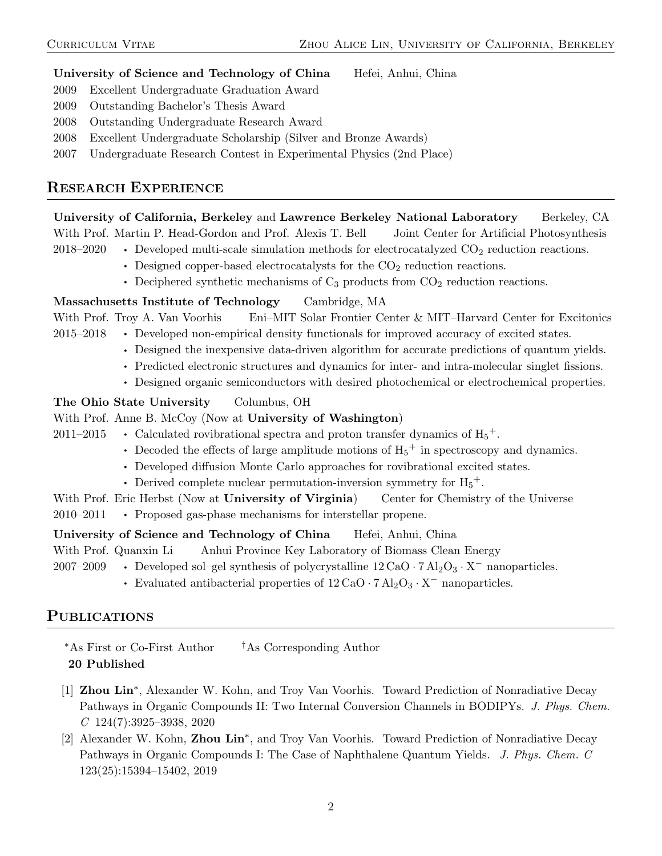#### University of Science and Technology of China Hefei, Anhui, China

- 2009 Excellent Undergraduate Graduation Award
- 2009 Outstanding Bachelor's Thesis Award
- 2008 Outstanding Undergraduate Research Award
- 2008 Excellent Undergraduate Scholarship (Silver and Bronze Awards)
- 2007 Undergraduate Research Contest in Experimental Physics (2nd Place)

## RESEARCH EXPERIENCE

University of California, Berkeley and Lawrence Berkeley National Laboratory Berkeley, CA With Prof. Martin P. Head-Gordon and Prof. Alexis T. Bell Joint Center for Artificial Photosynthesis

- 2018–2020 Developed multi-scale simulation methods for electrocatalyzed  $CO_2$  reduction reactions.
	- Designed copper-based electrocatalysts for the  $CO<sub>2</sub>$  reduction reactions.
	- Deciphered synthetic mechanisms of  $C_3$  products from  $CO_2$  reduction reactions.

#### Massachusetts Institute of Technology Cambridge, MA

With Prof. Troy A. Van Voorhis Eni–MIT Solar Frontier Center & MIT–Harvard Center for Excitonics 2015–2018 • Developed non-empirical density functionals for improved accuracy of excited states.

- Designed the inexpensive data-driven algorithm for accurate predictions of quantum yields.
- Predicted electronic structures and dynamics for inter- and intra-molecular singlet fissions.
- Designed organic semiconductors with desired photochemical or electrochemical properties.

#### The Ohio State University Columbus, OH

#### With Prof. Anne B. McCoy (Now at University of Washington)

2011–2015 • Calculated rovibrational spectra and proton transfer dynamics of  $H_5^+$ .

- Decoded the effects of large amplitude motions of  $H_5^+$  in spectroscopy and dynamics.
- Developed diffusion Monte Carlo approaches for rovibrational excited states.
- Derived complete nuclear permutation-inversion symmetry for  $H_5^+$ .
- With Prof. Eric Herbst (Now at University of Virginia) Center for Chemistry of the Universe
- 2010–2011 Proposed gas-phase mechanisms for interstellar propene.

#### University of Science and Technology of China Hefei, Anhui, China

With Prof. Quanxin Li Anhui Province Key Laboratory of Biomass Clean Energy

2007–2009 • Developed sol–gel synthesis of polycrystalline  $12 \text{ CaO} \cdot 7 \text{ Al}_2\text{O}_3 \cdot \text{X}^-$  nanoparticles.

• Evaluated antibacterial properties of  $12 \text{ CaO} \cdot 7 \text{ Al}_2\text{O}_3 \cdot \text{X}^-$  nanoparticles.

## PUBLICATIONS

<sup>∗</sup>As First or Co-First Author †As Corresponding Author

- 20 Published
- [1] Zhou Lin<sup>\*</sup>, Alexander W. Kohn, and Troy Van Voorhis. Toward Prediction of Nonradiative Decay Pathways in Organic Compounds II: Two Internal Conversion Channels in BODIPYs. J. Phys. Chem.  $C$  124(7):3925-3938, 2020
- [2] Alexander W. Kohn, Zhou Lin<sup>\*</sup>, and Troy Van Voorhis. Toward Prediction of Nonradiative Decay Pathways in Organic Compounds I: The Case of Naphthalene Quantum Yields. J. Phys. Chem. C 123(25):15394–15402, 2019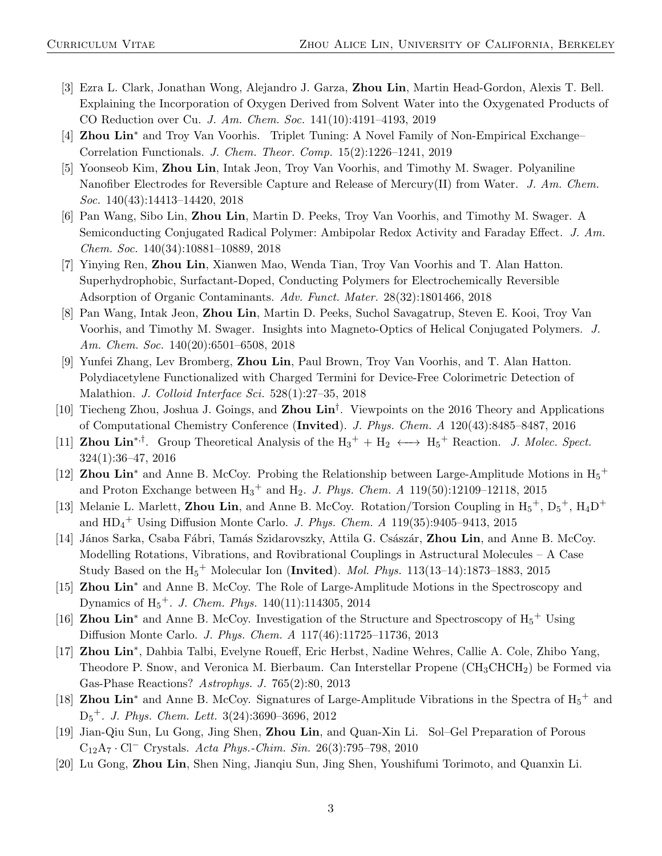- [3] Ezra L. Clark, Jonathan Wong, Alejandro J. Garza, Zhou Lin, Martin Head-Gordon, Alexis T. Bell. Explaining the Incorporation of Oxygen Derived from Solvent Water into the Oxygenated Products of CO Reduction over Cu. J. Am. Chem. Soc. 141(10):4191–4193, 2019
- [4] **Zhou Lin**<sup>\*</sup> and Troy Van Voorhis. Triplet Tuning: A Novel Family of Non-Empirical Exchange– Correlation Functionals. J. Chem. Theor. Comp. 15(2):1226–1241, 2019
- [5] Yoonseob Kim, Zhou Lin, Intak Jeon, Troy Van Voorhis, and Timothy M. Swager. Polyaniline Nanofiber Electrodes for Reversible Capture and Release of Mercury(II) from Water. J. Am. Chem. Soc. 140(43):14413–14420, 2018
- [6] Pan Wang, Sibo Lin, Zhou Lin, Martin D. Peeks, Troy Van Voorhis, and Timothy M. Swager. A Semiconducting Conjugated Radical Polymer: Ambipolar Redox Activity and Faraday Effect. J. Am. Chem. Soc. 140(34):10881–10889, 2018
- [7] Yinying Ren, Zhou Lin, Xianwen Mao, Wenda Tian, Troy Van Voorhis and T. Alan Hatton. Superhydrophobic, Surfactant-Doped, Conducting Polymers for Electrochemically Reversible Adsorption of Organic Contaminants. Adv. Funct. Mater. 28(32):1801466, 2018
- [8] Pan Wang, Intak Jeon, Zhou Lin, Martin D. Peeks, Suchol Savagatrup, Steven E. Kooi, Troy Van Voorhis, and Timothy M. Swager. Insights into Magneto-Optics of Helical Conjugated Polymers. J. Am. Chem. Soc. 140(20):6501–6508, 2018
- [9] Yunfei Zhang, Lev Bromberg, Zhou Lin, Paul Brown, Troy Van Voorhis, and T. Alan Hatton. Polydiacetylene Functionalized with Charged Termini for Device-Free Colorimetric Detection of Malathion. J. Colloid Interface Sci. 528(1):27–35, 2018
- [10] Tiecheng Zhou, Joshua J. Goings, and Zhou Lin<sup>†</sup>. Viewpoints on the 2016 Theory and Applications of Computational Chemistry Conference (Invited). J. Phys. Chem. A 120(43):8485–8487, 2016
- [11] **Zhou Lin**<sup>\*,†</sup>. Group Theoretical Analysis of the  $H_3^+ + H_2 \longleftrightarrow H_5^+$  Reaction. *J. Molec. Spect.* 324(1):36–47, 2016
- [12] **Zhou Lin**<sup>\*</sup> and Anne B. McCoy. Probing the Relationship between Large-Amplitude Motions in  $H_5$ <sup>+</sup> and Proton Exchange between  $H_3^+$  and  $H_2$ . *J. Phys. Chem. A* 119(50):12109–12118, 2015
- [13] Melanie L. Marlett, **Zhou Lin**, and Anne B. McCoy. Rotation/Torsion Coupling in  $H_5^+$ ,  $D_5^+$ ,  $H_4D^+$ and  $HD_4^+$  Using Diffusion Monte Carlo. *J. Phys. Chem. A*  $119(35):9405-9413$ ,  $2015$
- [14] János Sarka, Csaba Fábri, Tamás Szidarovszky, Attila G. Császár, Zhou Lin, and Anne B. McCoy. Modelling Rotations, Vibrations, and Rovibrational Couplings in Astructural Molecules – A Case Study Based on the  $H_5^+$  Molecular Ion (Invited). *Mol. Phys.* 113(13–14):1873–1883, 2015
- [15] **Zhou Lin<sup>\*</sup>** and Anne B. McCoy. The Role of Large-Amplitude Motions in the Spectroscopy and Dynamics of  $H_5^+$ . J. Chem. Phys. 140(11):114305, 2014
- [16] **Zhou Lin**<sup>\*</sup> and Anne B. McCoy. Investigation of the Structure and Spectroscopy of  $H_5$ <sup>+</sup> Using Diffusion Monte Carlo. J. Phys. Chem. A 117(46):11725–11736, 2013
- [17] Zhou Lin<sup>\*</sup>, Dahbia Talbi, Evelyne Roueff, Eric Herbst, Nadine Wehres, Callie A. Cole, Zhibo Yang, Theodore P. Snow, and Veronica M. Bierbaum. Can Interstellar Propene  $(CH_3CHCH_2)$  be Formed via Gas-Phase Reactions? Astrophys. J. 765(2):80, 2013
- [18] **Zhou Lin**<sup>\*</sup> and Anne B. McCoy. Signatures of Large-Amplitude Vibrations in the Spectra of  $H_5$ <sup>+</sup> and D<sup>5</sup> <sup>+</sup>. J. Phys. Chem. Lett. 3(24):3690–3696, 2012
- [19] Jian-Qiu Sun, Lu Gong, Jing Shen, Zhou Lin, and Quan-Xin Li. Sol–Gel Preparation of Porous C12A<sup>7</sup> · Cl<sup>−</sup> Crystals. Acta Phys.-Chim. Sin. 26(3):795–798, 2010
- [20] Lu Gong, Zhou Lin, Shen Ning, Jianqiu Sun, Jing Shen, Youshifumi Torimoto, and Quanxin Li.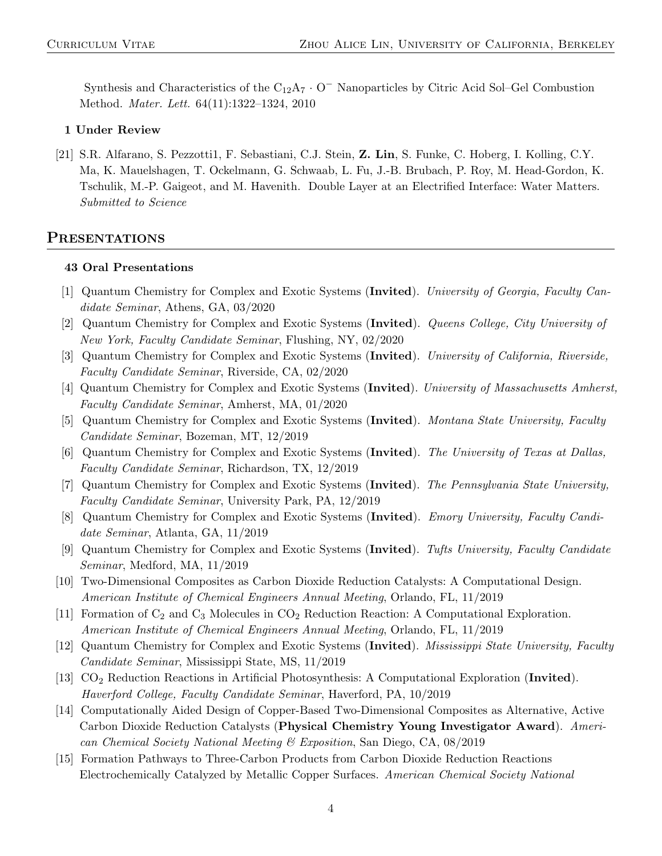Synthesis and Characteristics of the  $C_{12}A_7 \cdot 0^-$  Nanoparticles by Citric Acid Sol–Gel Combustion Method. Mater. Lett. 64(11):1322–1324, 2010

#### 1 Under Review

[21] S.R. Alfarano, S. Pezzotti1, F. Sebastiani, C.J. Stein, Z. Lin, S. Funke, C. Hoberg, I. Kolling, C.Y. Ma, K. Mauelshagen, T. Ockelmann, G. Schwaab, L. Fu, J.-B. Brubach, P. Roy, M. Head-Gordon, K. Tschulik, M.-P. Gaigeot, and M. Havenith. Double Layer at an Electrified Interface: Water Matters. Submitted to Science

#### PRESENTATIONS

#### 43 Oral Presentations

- [1] Quantum Chemistry for Complex and Exotic Systems (Invited). University of Georgia, Faculty Candidate Seminar, Athens, GA, 03/2020
- [2] Quantum Chemistry for Complex and Exotic Systems (Invited). Queens College, City University of New York, Faculty Candidate Seminar, Flushing, NY, 02/2020
- [3] Quantum Chemistry for Complex and Exotic Systems (Invited). University of California, Riverside, Faculty Candidate Seminar, Riverside, CA, 02/2020
- [4] Quantum Chemistry for Complex and Exotic Systems (Invited). University of Massachusetts Amherst, Faculty Candidate Seminar, Amherst, MA, 01/2020
- [5] Quantum Chemistry for Complex and Exotic Systems (Invited). Montana State University, Faculty Candidate Seminar, Bozeman, MT, 12/2019
- [6] Quantum Chemistry for Complex and Exotic Systems (Invited). The University of Texas at Dallas, Faculty Candidate Seminar, Richardson, TX, 12/2019
- [7] Quantum Chemistry for Complex and Exotic Systems (Invited). The Pennsylvania State University, Faculty Candidate Seminar, University Park, PA, 12/2019
- [8] Quantum Chemistry for Complex and Exotic Systems (Invited). Emory University, Faculty Candidate Seminar, Atlanta, GA, 11/2019
- [9] Quantum Chemistry for Complex and Exotic Systems (Invited). Tufts University, Faculty Candidate Seminar, Medford, MA, 11/2019
- [10] Two-Dimensional Composites as Carbon Dioxide Reduction Catalysts: A Computational Design. American Institute of Chemical Engineers Annual Meeting, Orlando, FL, 11/2019
- [11] Formation of  $C_2$  and  $C_3$  Molecules in  $CO_2$  Reduction Reaction: A Computational Exploration. American Institute of Chemical Engineers Annual Meeting, Orlando, FL, 11/2019
- [12] Quantum Chemistry for Complex and Exotic Systems (Invited). Mississippi State University, Faculty Candidate Seminar, Mississippi State, MS, 11/2019
- [13] CO<sup>2</sup> Reduction Reactions in Artificial Photosynthesis: A Computational Exploration (Invited). Haverford College, Faculty Candidate Seminar, Haverford, PA, 10/2019
- [14] Computationally Aided Design of Copper-Based Two-Dimensional Composites as Alternative, Active Carbon Dioxide Reduction Catalysts (Physical Chemistry Young Investigator Award). American Chemical Society National Meeting & Exposition, San Diego, CA, 08/2019
- [15] Formation Pathways to Three-Carbon Products from Carbon Dioxide Reduction Reactions Electrochemically Catalyzed by Metallic Copper Surfaces. American Chemical Society National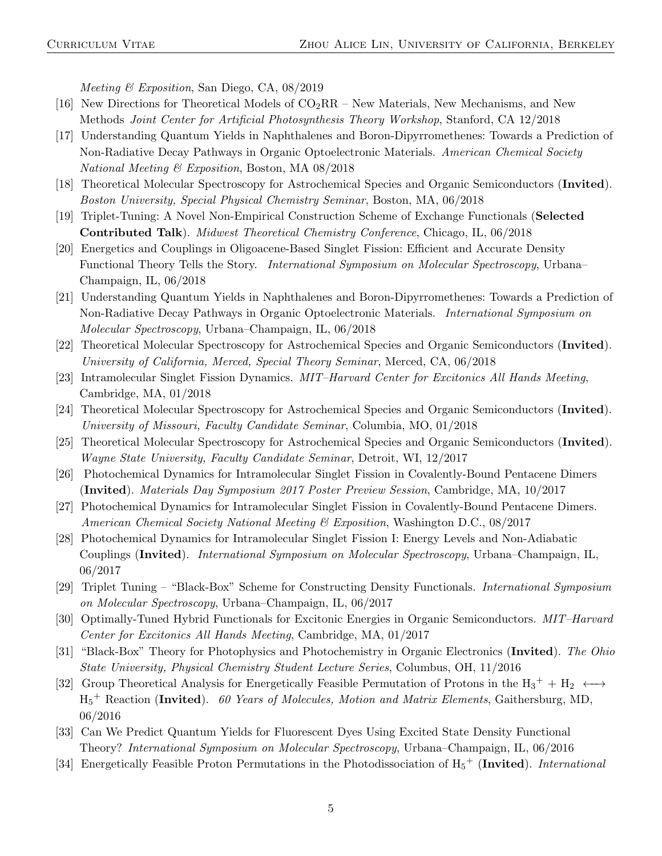Meeting & Exposition, San Diego, CA, 08/2019

- [16] New Directions for Theoretical Models of  $CO_2RR$  New Materials, New Mechanisms, and New Methods Joint Center for Artificial Photosynthesis Theory Workshop, Stanford, CA 12/2018
- [17] Understanding Quantum Yields in Naphthalenes and Boron-Dipyrromethenes: Towards a Prediction of Non-Radiative Decay Pathways in Organic Optoelectronic Materials. American Chemical Society National Meeting & Exposition, Boston, MA 08/2018
- [18] Theoretical Molecular Spectroscopy for Astrochemical Species and Organic Semiconductors (Invited). Boston University, Special Physical Chemistry Seminar, Boston, MA, 06/2018
- [19] Triplet-Tuning: A Novel Non-Empirical Construction Scheme of Exchange Functionals (Selected Contributed Talk). Midwest Theoretical Chemistry Conference, Chicago, IL, 06/2018
- [20] Energetics and Couplings in Oligoacene-Based Singlet Fission: Efficient and Accurate Density Functional Theory Tells the Story. International Symposium on Molecular Spectroscopy, Urbana– Champaign, IL, 06/2018
- [21] Understanding Quantum Yields in Naphthalenes and Boron-Dipyrromethenes: Towards a Prediction of Non-Radiative Decay Pathways in Organic Optoelectronic Materials. *International Symposium on* Molecular Spectroscopy, Urbana–Champaign, IL, 06/2018
- [22] Theoretical Molecular Spectroscopy for Astrochemical Species and Organic Semiconductors (Invited). University of California, Merced, Special Theory Seminar, Merced, CA, 06/2018
- [23] Intramolecular Singlet Fission Dynamics. MIT–Harvard Center for Excitonics All Hands Meeting, Cambridge, MA, 01/2018
- [24] Theoretical Molecular Spectroscopy for Astrochemical Species and Organic Semiconductors (Invited). University of Missouri, Faculty Candidate Seminar, Columbia, MO, 01/2018
- [25] Theoretical Molecular Spectroscopy for Astrochemical Species and Organic Semiconductors (Invited). Wayne State University, Faculty Candidate Seminar, Detroit, WI, 12/2017
- [26] Photochemical Dynamics for Intramolecular Singlet Fission in Covalently-Bound Pentacene Dimers (Invited). Materials Day Symposium 2017 Poster Preview Session, Cambridge, MA, 10/2017
- [27] Photochemical Dynamics for Intramolecular Singlet Fission in Covalently-Bound Pentacene Dimers. American Chemical Society National Meeting  $\mathcal C$  Exposition, Washington D.C., 08/2017
- [28] Photochemical Dynamics for Intramolecular Singlet Fission I: Energy Levels and Non-Adiabatic Couplings (Invited). International Symposium on Molecular Spectroscopy, Urbana–Champaign, IL, 06/2017
- [29] Triplet Tuning "Black-Box" Scheme for Constructing Density Functionals. International Symposium on Molecular Spectroscopy, Urbana–Champaign, IL, 06/2017
- [30] Optimally-Tuned Hybrid Functionals for Excitonic Energies in Organic Semiconductors. MIT–Harvard Center for Excitonics All Hands Meeting, Cambridge, MA, 01/2017
- [31] "Black-Box" Theory for Photophysics and Photochemistry in Organic Electronics (Invited). The Ohio State University, Physical Chemistry Student Lecture Series, Columbus, OH, 11/2016
- [32] Group Theoretical Analysis for Energetically Feasible Permutation of Protons in the  $H_3^+ + H_2 \longleftrightarrow$  $H_5$ <sup>+</sup> Reaction (Invited). 60 Years of Molecules, Motion and Matrix Elements, Gaithersburg, MD, 06/2016
- [33] Can We Predict Quantum Yields for Fluorescent Dyes Using Excited State Density Functional Theory? International Symposium on Molecular Spectroscopy, Urbana–Champaign, IL, 06/2016
- [34] Energetically Feasible Proton Permutations in the Photodissociation of  $H_5^+$  (Invited). International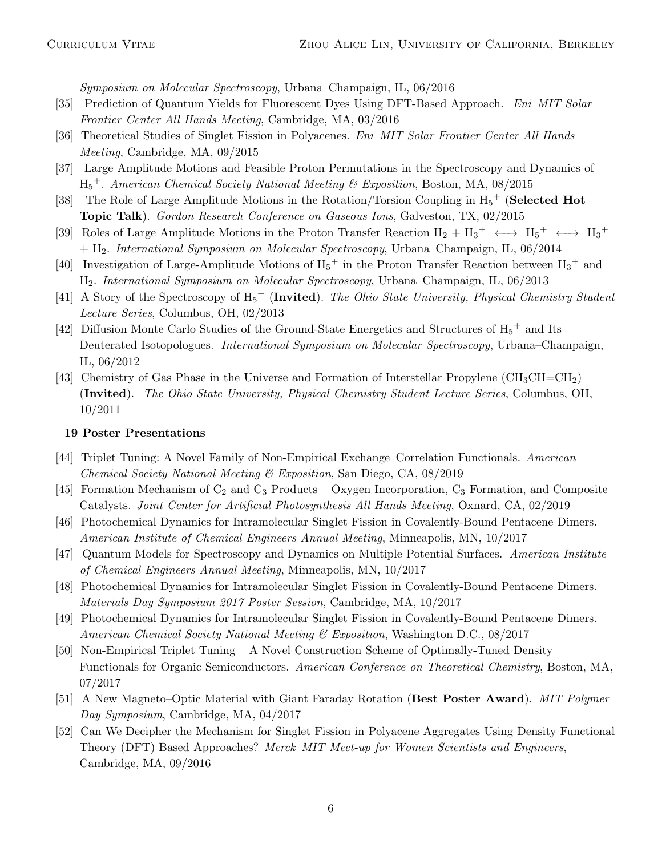Symposium on Molecular Spectroscopy, Urbana–Champaign, IL, 06/2016

- [35] Prediction of Quantum Yields for Fluorescent Dyes Using DFT-Based Approach. Eni–MIT Solar Frontier Center All Hands Meeting, Cambridge, MA, 03/2016
- [36] Theoretical Studies of Singlet Fission in Polyacenes. Eni–MIT Solar Frontier Center All Hands Meeting, Cambridge, MA, 09/2015
- [37] Large Amplitude Motions and Feasible Proton Permutations in the Spectroscopy and Dynamics of  $H_5^+$ . American Chemical Society National Meeting & Exposition, Boston, MA, 08/2015
- [38] The Role of Large Amplitude Motions in the Rotation/Torsion Coupling in  $H_5^+$  (**Selected Hot** Topic Talk). Gordon Research Conference on Gaseous Ions, Galveston, TX, 02/2015
- [39] Roles of Large Amplitude Motions in the Proton Transfer Reaction  $H_2 + H_3^+ \longleftrightarrow H_5^+ \longleftrightarrow H_3^+$ + H2. International Symposium on Molecular Spectroscopy, Urbana–Champaign, IL, 06/2014
- [40] Investigation of Large-Amplitude Motions of  $H_5^+$  in the Proton Transfer Reaction between  $H_3^+$  and H2. International Symposium on Molecular Spectroscopy, Urbana–Champaign, IL, 06/2013
- [41] A Story of the Spectroscopy of  $H_5^+$  (Invited). The Ohio State University, Physical Chemistry Student Lecture Series, Columbus, OH, 02/2013
- [42] Diffusion Monte Carlo Studies of the Ground-State Energetics and Structures of  $H_5^+$  and Its Deuterated Isotopologues. *International Symposium on Molecular Spectroscopy*, Urbana–Champaign, IL, 06/2012
- [43] Chemistry of Gas Phase in the Universe and Formation of Interstellar Propylene (CH3CH−−CH2) (Invited). The Ohio State University, Physical Chemistry Student Lecture Series, Columbus, OH, 10/2011

#### 19 Poster Presentations

- [44] Triplet Tuning: A Novel Family of Non-Empirical Exchange–Correlation Functionals. American Chemical Society National Meeting & Exposition, San Diego, CA, 08/2019
- [45] Formation Mechanism of  $C_2$  and  $C_3$  Products Oxygen Incorporation,  $C_3$  Formation, and Composite Catalysts. Joint Center for Artificial Photosynthesis All Hands Meeting, Oxnard, CA, 02/2019
- [46] Photochemical Dynamics for Intramolecular Singlet Fission in Covalently-Bound Pentacene Dimers. American Institute of Chemical Engineers Annual Meeting, Minneapolis, MN, 10/2017
- [47] Quantum Models for Spectroscopy and Dynamics on Multiple Potential Surfaces. American Institute of Chemical Engineers Annual Meeting, Minneapolis, MN, 10/2017
- [48] Photochemical Dynamics for Intramolecular Singlet Fission in Covalently-Bound Pentacene Dimers. Materials Day Symposium 2017 Poster Session, Cambridge, MA, 10/2017
- [49] Photochemical Dynamics for Intramolecular Singlet Fission in Covalently-Bound Pentacene Dimers. American Chemical Society National Meeting & Exposition, Washington D.C., 08/2017
- [50] Non-Empirical Triplet Tuning A Novel Construction Scheme of Optimally-Tuned Density Functionals for Organic Semiconductors. American Conference on Theoretical Chemistry, Boston, MA, 07/2017
- [51] A New Magneto–Optic Material with Giant Faraday Rotation (Best Poster Award). MIT Polymer Day Symposium, Cambridge, MA, 04/2017
- [52] Can We Decipher the Mechanism for Singlet Fission in Polyacene Aggregates Using Density Functional Theory (DFT) Based Approaches? Merck–MIT Meet-up for Women Scientists and Engineers, Cambridge, MA, 09/2016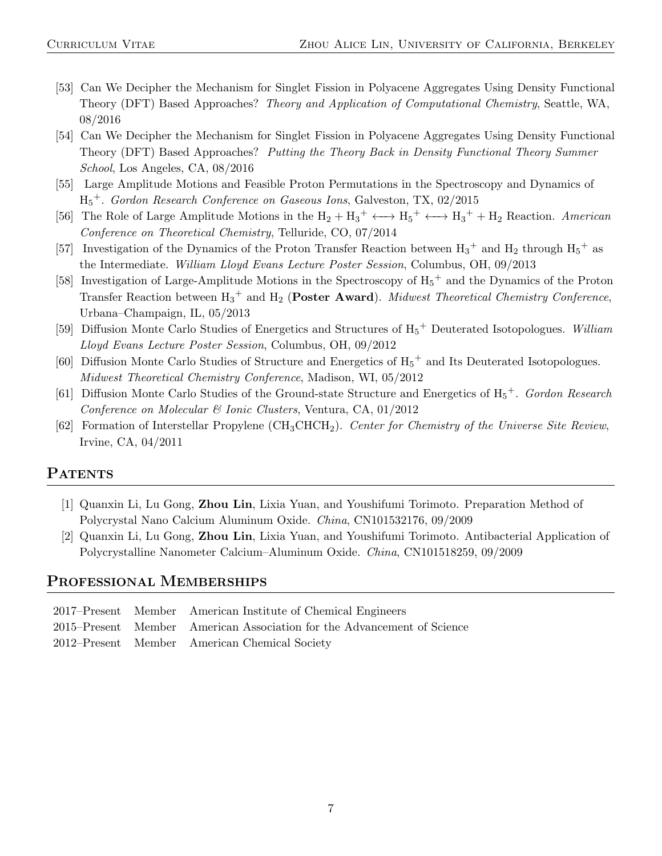- [53] Can We Decipher the Mechanism for Singlet Fission in Polyacene Aggregates Using Density Functional Theory (DFT) Based Approaches? Theory and Application of Computational Chemistry, Seattle, WA, 08/2016
- [54] Can We Decipher the Mechanism for Singlet Fission in Polyacene Aggregates Using Density Functional Theory (DFT) Based Approaches? Putting the Theory Back in Density Functional Theory Summer School, Los Angeles, CA, 08/2016
- [55] Large Amplitude Motions and Feasible Proton Permutations in the Spectroscopy and Dynamics of H<sup>5</sup> <sup>+</sup>. Gordon Research Conference on Gaseous Ions, Galveston, TX, 02/2015
- [56] The Role of Large Amplitude Motions in the  $H_2 + H_3^+ \longleftrightarrow H_5^+ \longleftrightarrow H_3^+ + H_2$  Reaction. American Conference on Theoretical Chemistry, Telluride, CO, 07/2014
- [57] Investigation of the Dynamics of the Proton Transfer Reaction between  $H_3^+$  and  $H_2$  through  $H_5^+$  as the Intermediate. William Lloyd Evans Lecture Poster Session, Columbus, OH, 09/2013
- [58] Investigation of Large-Amplitude Motions in the Spectroscopy of  $H_5^+$  and the Dynamics of the Proton Transfer Reaction between  $H_3$ <sup>+</sup> and  $H_2$  (Poster Award). Midwest Theoretical Chemistry Conference, Urbana–Champaign, IL, 05/2013
- [59] Diffusion Monte Carlo Studies of Energetics and Structures of  $H_5$ <sup>+</sup> Deuterated Isotopologues. William Lloyd Evans Lecture Poster Session, Columbus, OH, 09/2012
- [60] Diffusion Monte Carlo Studies of Structure and Energetics of  $H_5$ <sup>+</sup> and Its Deuterated Isotopologues. Midwest Theoretical Chemistry Conference, Madison, WI, 05/2012
- [61] Diffusion Monte Carlo Studies of the Ground-state Structure and Energetics of  $H_5^+$ . Gordon Research Conference on Molecular & Ionic Clusters, Ventura, CA, 01/2012
- [62] Formation of Interstellar Propylene (CH3CHCH2). Center for Chemistry of the Universe Site Review, Irvine, CA, 04/2011

## PATENTS

- [1] Quanxin Li, Lu Gong, Zhou Lin, Lixia Yuan, and Youshifumi Torimoto. Preparation Method of Polycrystal Nano Calcium Aluminum Oxide. China, CN101532176, 09/2009
- [2] Quanxin Li, Lu Gong, Zhou Lin, Lixia Yuan, and Youshifumi Torimoto. Antibacterial Application of Polycrystalline Nanometer Calcium–Aluminum Oxide. China, CN101518259, 09/2009

## PROFESSIONAL MEMBERSHIPS

|  | 2017–Present Member American Institute of Chemical Engineers            |
|--|-------------------------------------------------------------------------|
|  | 2015–Present Member American Association for the Advancement of Science |
|  | 2012–Present Member American Chemical Society                           |